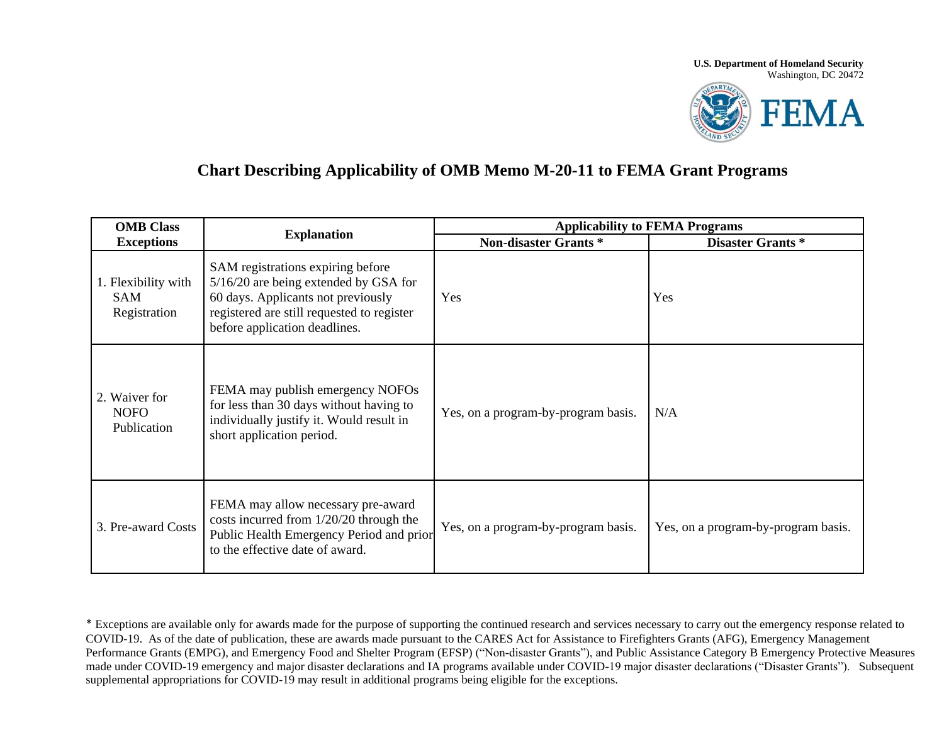## **U.S. Department of Homeland Security** Washington, DC 20472



## **Chart Describing Applicability of OMB Memo M-20-11 to FEMA Grant Programs**

| <b>OMB</b> Class<br><b>Exceptions</b>             | <b>Explanation</b>                                                                                                                                                                              | <b>Applicability to FEMA Programs</b> |                                     |
|---------------------------------------------------|-------------------------------------------------------------------------------------------------------------------------------------------------------------------------------------------------|---------------------------------------|-------------------------------------|
|                                                   |                                                                                                                                                                                                 | <b>Non-disaster Grants *</b>          | <b>Disaster Grants</b> *            |
| 1. Flexibility with<br><b>SAM</b><br>Registration | SAM registrations expiring before<br>5/16/20 are being extended by GSA for<br>60 days. Applicants not previously<br>registered are still requested to register<br>before application deadlines. | Yes                                   | Yes                                 |
| 2. Waiver for<br><b>NOFO</b><br>Publication       | FEMA may publish emergency NOFOs<br>for less than 30 days without having to<br>individually justify it. Would result in<br>short application period.                                            | Yes, on a program-by-program basis.   | N/A                                 |
| 3. Pre-award Costs                                | FEMA may allow necessary pre-award<br>costs incurred from 1/20/20 through the<br>Public Health Emergency Period and prior<br>to the effective date of award.                                    | Yes, on a program-by-program basis.   | Yes, on a program-by-program basis. |

\* Exceptions are available only for awards made for the purpose of supporting the continued research and services necessary to carry out the emergency response related to COVID-19. As of the date of publication, these are awards made pursuant to the CARES Act for Assistance to Firefighters Grants (AFG), Emergency Management Performance Grants (EMPG), and Emergency Food and Shelter Program (EFSP) ("Non-disaster Grants"), and Public Assistance Category B Emergency Protective Measures made under COVID-19 emergency and major disaster declarations and IA programs available under COVID-19 major disaster declarations ("Disaster Grants"). Subsequent supplemental appropriations for COVID-19 may result in additional programs being eligible for the exceptions.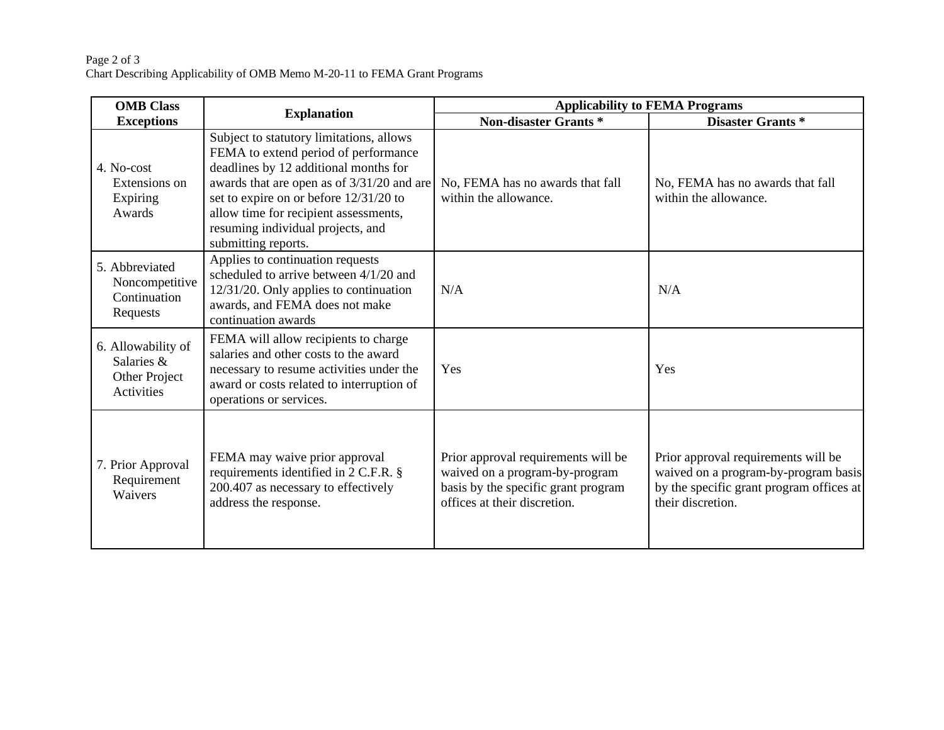## Page 2 of 3 Chart Describing Applicability of OMB Memo M-20-11 to FEMA Grant Programs

| <b>OMB</b> Class<br><b>Exceptions</b>                           | <b>Explanation</b>                                                                                                                                                                                                                                                                                                     | <b>Applicability to FEMA Programs</b>                                                                                                        |                                                                                                                                              |
|-----------------------------------------------------------------|------------------------------------------------------------------------------------------------------------------------------------------------------------------------------------------------------------------------------------------------------------------------------------------------------------------------|----------------------------------------------------------------------------------------------------------------------------------------------|----------------------------------------------------------------------------------------------------------------------------------------------|
|                                                                 |                                                                                                                                                                                                                                                                                                                        | <b>Non-disaster Grants *</b>                                                                                                                 | Disaster Grants*                                                                                                                             |
| 4. No-cost<br>Extensions on<br>Expiring<br>Awards               | Subject to statutory limitations, allows<br>FEMA to extend period of performance<br>deadlines by 12 additional months for<br>awards that are open as of 3/31/20 and are<br>set to expire on or before 12/31/20 to<br>allow time for recipient assessments,<br>resuming individual projects, and<br>submitting reports. | No, FEMA has no awards that fall<br>within the allowance.                                                                                    | No, FEMA has no awards that fall<br>within the allowance.                                                                                    |
| 5. Abbreviated<br>Noncompetitive<br>Continuation<br>Requests    | Applies to continuation requests<br>scheduled to arrive between 4/1/20 and<br>12/31/20. Only applies to continuation<br>awards, and FEMA does not make<br>continuation awards                                                                                                                                          | N/A                                                                                                                                          | N/A                                                                                                                                          |
| 6. Allowability of<br>Salaries &<br>Other Project<br>Activities | FEMA will allow recipients to charge<br>salaries and other costs to the award<br>necessary to resume activities under the<br>award or costs related to interruption of<br>operations or services.                                                                                                                      | Yes                                                                                                                                          | Yes                                                                                                                                          |
| 7. Prior Approval<br>Requirement<br>Waivers                     | FEMA may waive prior approval<br>requirements identified in 2 C.F.R. §<br>200.407 as necessary to effectively<br>address the response.                                                                                                                                                                                 | Prior approval requirements will be<br>waived on a program-by-program<br>basis by the specific grant program<br>offices at their discretion. | Prior approval requirements will be<br>waived on a program-by-program basis<br>by the specific grant program offices at<br>their discretion. |